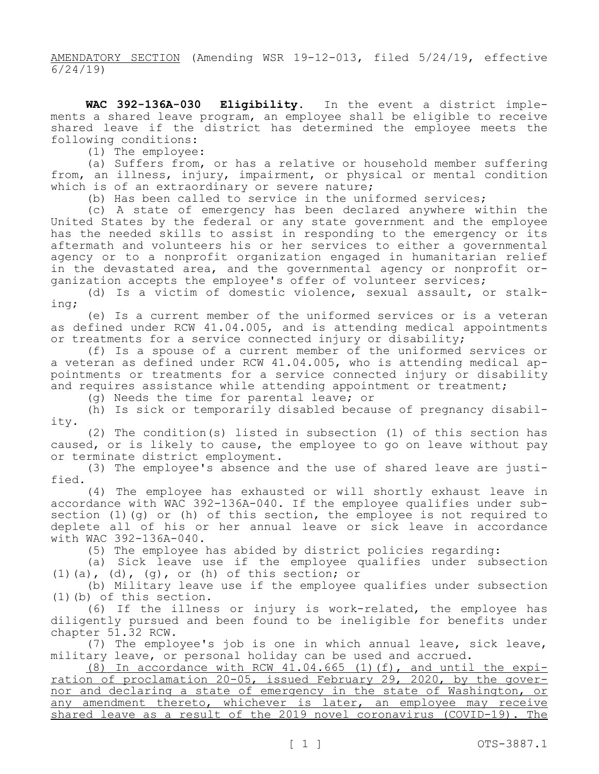AMENDATORY SECTION (Amending WSR 19-12-013, filed 5/24/19, effective 6/24/19)

**WAC 392-136A-030 Eligibility.** In the event a district implements a shared leave program, an employee shall be eligible to receive shared leave if the district has determined the employee meets the following conditions:

(1) The employee:

(a) Suffers from, or has a relative or household member suffering from, an illness, injury, impairment, or physical or mental condition which is of an extraordinary or severe nature;

(b) Has been called to service in the uniformed services;

(c) A state of emergency has been declared anywhere within the United States by the federal or any state government and the employee has the needed skills to assist in responding to the emergency or its aftermath and volunteers his or her services to either a governmental agency or to a nonprofit organization engaged in humanitarian relief in the devastated area, and the governmental agency or nonprofit organization accepts the employee's offer of volunteer services;

(d) Is a victim of domestic violence, sexual assault, or stalking;

(e) Is a current member of the uniformed services or is a veteran as defined under RCW 41.04.005, and is attending medical appointments or treatments for a service connected injury or disability;

(f) Is a spouse of a current member of the uniformed services or a veteran as defined under RCW 41.04.005, who is attending medical appointments or treatments for a service connected injury or disability and requires assistance while attending appointment or treatment;

(g) Needs the time for parental leave; or

(h) Is sick or temporarily disabled because of pregnancy disability.

(2) The condition(s) listed in subsection (1) of this section has caused, or is likely to cause, the employee to go on leave without pay or terminate district employment.

(3) The employee's absence and the use of shared leave are justified.

(4) The employee has exhausted or will shortly exhaust leave in accordance with WAC 392-136A-040. If the employee qualifies under subsection (1)(q) or (h) of this section, the employee is not required to deplete all of his or her annual leave or sick leave in accordance with WAC 392-136A-040.

(5) The employee has abided by district policies regarding:

(a) Sick leave use if the employee qualifies under subsection  $(1)$  (a),  $(d)$ ,  $(g)$ , or (h) of this section; or

(b) Military leave use if the employee qualifies under subsection (1)(b) of this section.

(6) If the illness or injury is work-related, the employee has diligently pursued and been found to be ineligible for benefits under chapter 51.32 RCW.

(7) The employee's job is one in which annual leave, sick leave, military leave, or personal holiday can be used and accrued.

 $(8)$  In accordance with RCW  $4\overline{1.04.665}$  (1)(f), and until the expiration of proclamation 20-05, issued February 29, 2020, by the governor and declaring a state of emergency in the state of Washington, or any amendment thereto, whichever is later, an employee may receive shared leave as a result of the 2019 novel coronavirus (COVID-19). The